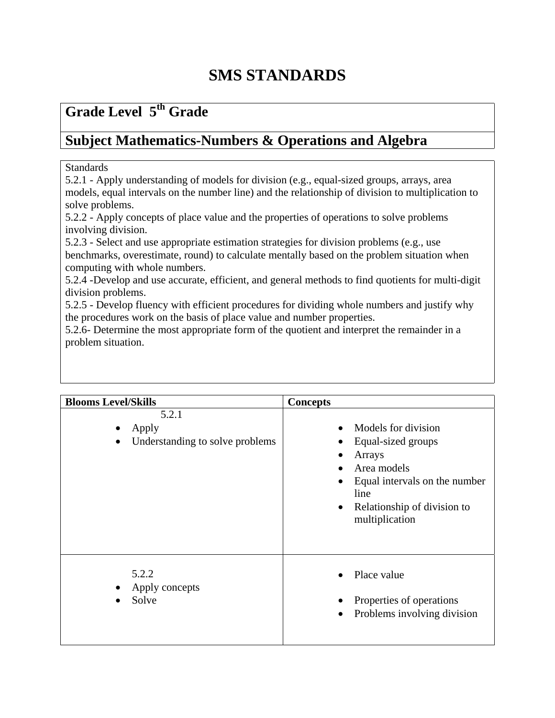## **Grade Level 5th Grade**

### **Subject Mathematics-Numbers & Operations and Algebra**

#### Standards

5.2.1 - Apply understanding of models for division (e.g., equal-sized groups, arrays, area models, equal intervals on the number line) and the relationship of division to multiplication to solve problems.

5.2.2 - Apply concepts of place value and the properties of operations to solve problems involving division.

5.2.3 - Select and use appropriate estimation strategies for division problems (e.g., use benchmarks, overestimate, round) to calculate mentally based on the problem situation when computing with whole numbers.

5.2.4 -Develop and use accurate, efficient, and general methods to find quotients for multi-digit division problems.

5.2.5 - Develop fluency with efficient procedures for dividing whole numbers and justify why the procedures work on the basis of place value and number properties.

5.2.6- Determine the most appropriate form of the quotient and interpret the remainder in a problem situation.

| <b>Blooms Level/Skills</b>                                     | <b>Concepts</b>                                                                                                                                                                        |
|----------------------------------------------------------------|----------------------------------------------------------------------------------------------------------------------------------------------------------------------------------------|
| 5.2.1<br>Apply<br>Understanding to solve problems<br>$\bullet$ | Models for division<br>Equal-sized groups<br>Arrays<br>Area models<br>Equal intervals on the number<br>$\bullet$<br>line<br>Relationship of division to<br>$\bullet$<br>multiplication |
| 5.2.2<br>Apply concepts<br>Solve                               | Place value<br>Properties of operations<br>Problems involving division<br>$\bullet$                                                                                                    |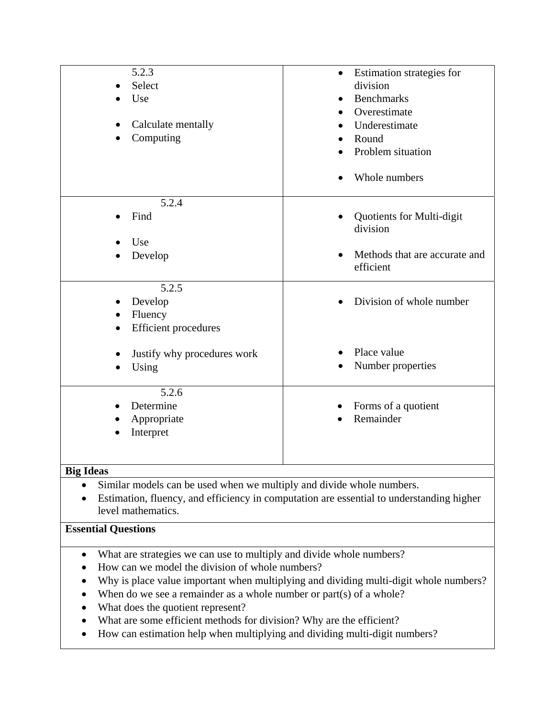| 5.2.3<br>Select<br>Use<br>Calculate mentally<br>Computing                                                                                                                                                                                                                                                                                                                                                                                                                                       | Estimation strategies for<br>$\bullet$<br>division<br><b>Benchmarks</b><br>Overestimate<br>Underestimate<br>Round<br>Problem situation<br>Whole numbers |
|-------------------------------------------------------------------------------------------------------------------------------------------------------------------------------------------------------------------------------------------------------------------------------------------------------------------------------------------------------------------------------------------------------------------------------------------------------------------------------------------------|---------------------------------------------------------------------------------------------------------------------------------------------------------|
| 5.2.4<br>Find<br>Use<br>Develop                                                                                                                                                                                                                                                                                                                                                                                                                                                                 | Quotients for Multi-digit<br>division<br>Methods that are accurate and<br>efficient                                                                     |
| 5.2.5<br>Develop<br>Fluency<br><b>Efficient</b> procedures                                                                                                                                                                                                                                                                                                                                                                                                                                      | Division of whole number                                                                                                                                |
| Justify why procedures work<br>Using                                                                                                                                                                                                                                                                                                                                                                                                                                                            | Place value<br>Number properties                                                                                                                        |
| 5.2.6<br>Determine<br>Appropriate<br>Interpret                                                                                                                                                                                                                                                                                                                                                                                                                                                  | Forms of a quotient<br>Remainder                                                                                                                        |
| <b>Big Ideas</b>                                                                                                                                                                                                                                                                                                                                                                                                                                                                                |                                                                                                                                                         |
| Similar models can be used when we multiply and divide whole numbers.<br>Estimation, fluency, and efficiency in computation are essential to understanding higher<br>٠<br>level mathematics.                                                                                                                                                                                                                                                                                                    |                                                                                                                                                         |
| <b>Essential Questions</b>                                                                                                                                                                                                                                                                                                                                                                                                                                                                      |                                                                                                                                                         |
| What are strategies we can use to multiply and divide whole numbers?<br>$\bullet$<br>How can we model the division of whole numbers?<br>Why is place value important when multiplying and dividing multi-digit whole numbers?<br>When do we see a remainder as a whole number or part(s) of a whole?<br>What does the quotient represent?<br>What are some efficient methods for division? Why are the efficient?<br>How can estimation help when multiplying and dividing multi-digit numbers? |                                                                                                                                                         |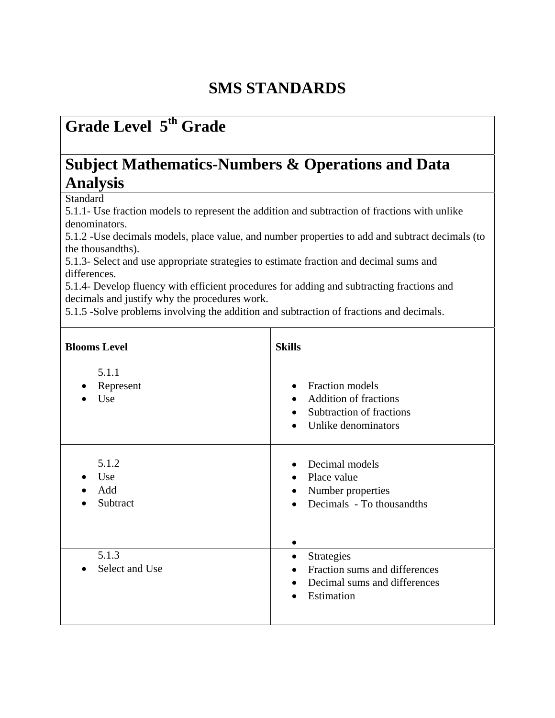## *<u>Grade Level 5<sup>th</sup> Grade*</u>

### **Subject Mathematics-Numbers & Operations and Data Analysis**

**Standard** 

5.1.1- Use fraction models to represent the addition and subtraction of fractions with unlike denominators.

5.1.2 - Use decimals models, place value, and number properties to add and subtract decimals (to the thousandths).

5.1.3- Select and use appropriate strategies to estimate fraction and decimal sums and differences.

5.1.4- Develop fluency with efficient procedures for adding and subtracting fractions and decimals and justify why the procedures work.

5.1.5 -Solve problems involving the addition and subtraction of fractions and decimals.

| <b>Blooms Level</b>             | <b>Skills</b>                                                                                                                                          |
|---------------------------------|--------------------------------------------------------------------------------------------------------------------------------------------------------|
| 5.1.1<br>Represent<br>Use       | Fraction models<br>$\bullet$<br><b>Addition of fractions</b><br>$\bullet$<br>Subtraction of fractions<br>$\bullet$<br>Unlike denominators<br>$\bullet$ |
| 5.1.2<br>Use<br>Add<br>Subtract | Decimal models<br>Place value<br>$\bullet$<br>Number properties<br>$\bullet$<br>Decimals - To thousandths<br>$\bullet$                                 |
| 5.1.3<br>Select and Use         | <b>Strategies</b><br>$\bullet$<br>Fraction sums and differences<br>$\bullet$<br>Decimal sums and differences<br>$\bullet$<br>Estimation<br>$\bullet$   |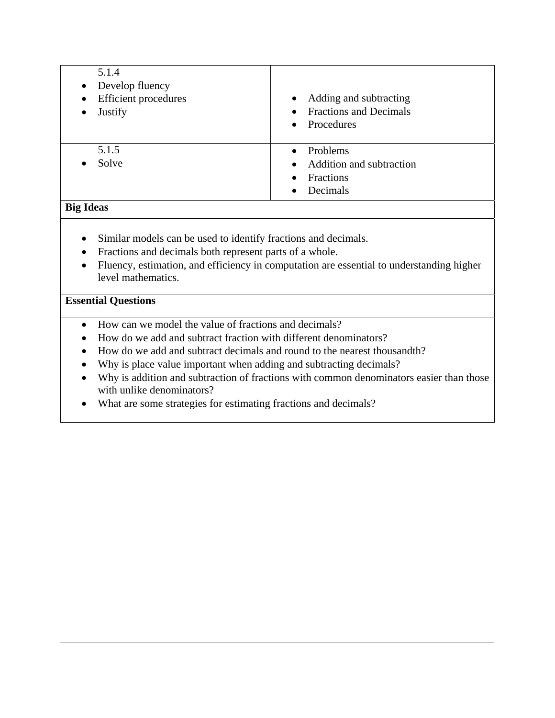| 5.1.4<br>Develop fluency<br>$\bullet$<br><b>Efficient</b> procedures<br>$\bullet$<br>Justify<br>$\bullet$ | Adding and subtracting<br>$\bullet$<br><b>Fractions and Decimals</b><br>Procedures<br>$\bullet$ |
|-----------------------------------------------------------------------------------------------------------|-------------------------------------------------------------------------------------------------|
| 5.1.5<br>Solve                                                                                            | Problems<br>Addition and subtraction<br>Fractions<br>Decimals                                   |

#### **Big Ideas**

- Similar models can be used to identify fractions and decimals.
- Fractions and decimals both represent parts of a whole.
- Fluency, estimation, and efficiency in computation are essential to understanding higher level mathematics.

#### **Essential Questions**

- How can we model the value of fractions and decimals?
- How do we add and subtract fraction with different denominators?
- How do we add and subtract decimals and round to the nearest thousandth?
- Why is place value important when adding and subtracting decimals?
- Why is addition and subtraction of fractions with common denominators easier than those with unlike denominators?
- What are some strategies for estimating fractions and decimals?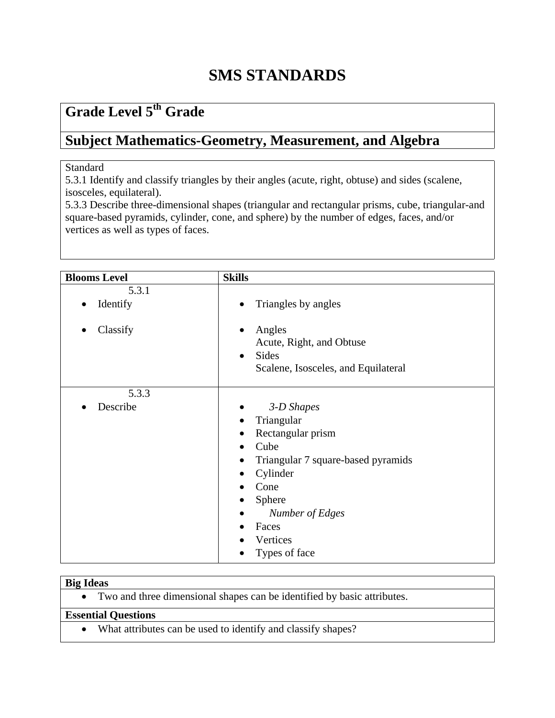## **Grade Level 5th Grade**

### **Subject Mathematics-Geometry, Measurement, and Algebra**

#### Standard

5.3.1 Identify and classify triangles by their angles (acute, right, obtuse) and sides (scalene, isosceles, equilateral).

5.3.3 Describe three-dimensional shapes (triangular and rectangular prisms, cube, triangular-and square-based pyramids, cylinder, cone, and sphere) by the number of edges, faces, and/or vertices as well as types of faces.

| <b>Blooms Level</b> | <b>Skills</b>                                                                                                                                                                                   |
|---------------------|-------------------------------------------------------------------------------------------------------------------------------------------------------------------------------------------------|
| 5.3.1               |                                                                                                                                                                                                 |
| Identify            | Triangles by angles                                                                                                                                                                             |
| Classify            | Angles<br>Acute, Right, and Obtuse<br><b>Sides</b><br>$\bullet$<br>Scalene, Isosceles, and Equilateral                                                                                          |
| 5.3.3               |                                                                                                                                                                                                 |
| Describe            | 3-D Shapes<br>Triangular<br>$\bullet$<br>Rectangular prism<br>Cube<br>Triangular 7 square-based pyramids<br>Cylinder<br>Cone<br>Sphere<br>Number of Edges<br>Faces<br>Vertices<br>Types of face |

#### **Big Ideas**

• Two and three dimensional shapes can be identified by basic attributes.

#### **Essential Questions**

• What attributes can be used to identify and classify shapes?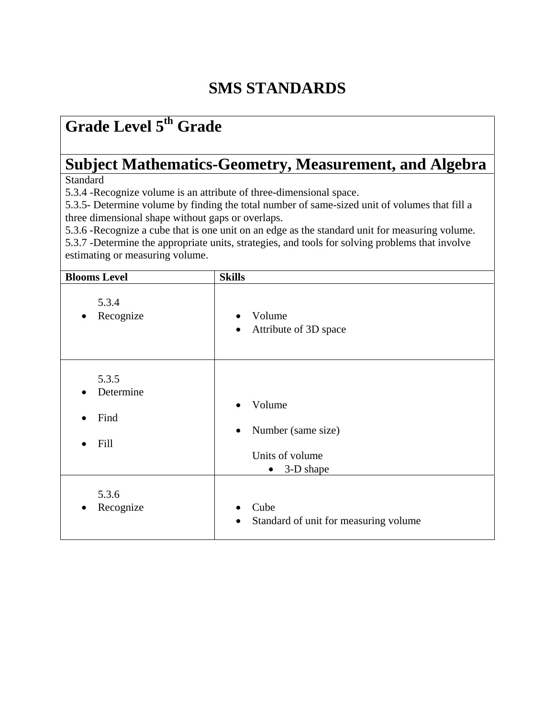# **Grade Level 5th Grade**

# **Subject Mathematics-Geometry, Measurement, and Algebra**

**Standard** 

5.3.4 -Recognize volume is an attribute of three-dimensional space.

5.3.5- Determine volume by finding the total number of same-sized unit of volumes that fill a three dimensional shape without gaps or overlaps.

5.3.6 -Recognize a cube that is one unit on an edge as the standard unit for measuring volume.

5.3.7 -Determine the appropriate units, strategies, and tools for solving problems that involve estimating or measuring volume.

| <b>Blooms Level</b>                                          | <b>Skills</b>                                                                          |
|--------------------------------------------------------------|----------------------------------------------------------------------------------------|
| 5.3.4<br>Recognize<br>$\bullet$                              | Volume<br>$\bullet$<br>Attribute of 3D space<br>$\bullet$                              |
| 5.3.5<br>Determine<br>$\bullet$<br>Find<br>$\bullet$<br>Fill | Volume<br>Number (same size)<br>$\bullet$<br>Units of volume<br>3-D shape<br>$\bullet$ |
| 5.3.6<br>Recognize<br>$\bullet$                              | Cube<br>$\bullet$<br>Standard of unit for measuring volume<br>$\bullet$                |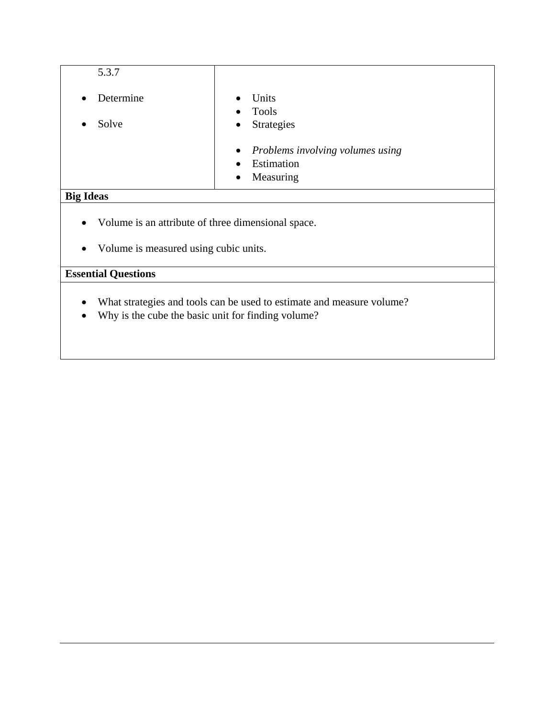| 5.3.7                  |                                                               |
|------------------------|---------------------------------------------------------------|
| Determine<br>$\bullet$ | Units<br>$\bullet$<br><b>Tools</b><br>$\bullet$               |
| Solve<br>$\bullet$     | Strategies<br>$\bullet$                                       |
|                        | • Problems involving volumes using<br>Estimation<br>$\bullet$ |
|                        | Measuring<br>$\bullet$                                        |
| <b>Big Ideas</b>       |                                                               |

- Volume is an attribute of three dimensional space.
- Volume is measured using cubic units.

### **Essential Questions**

- What strategies and tools can be used to estimate and measure volume?
- Why is the cube the basic unit for finding volume?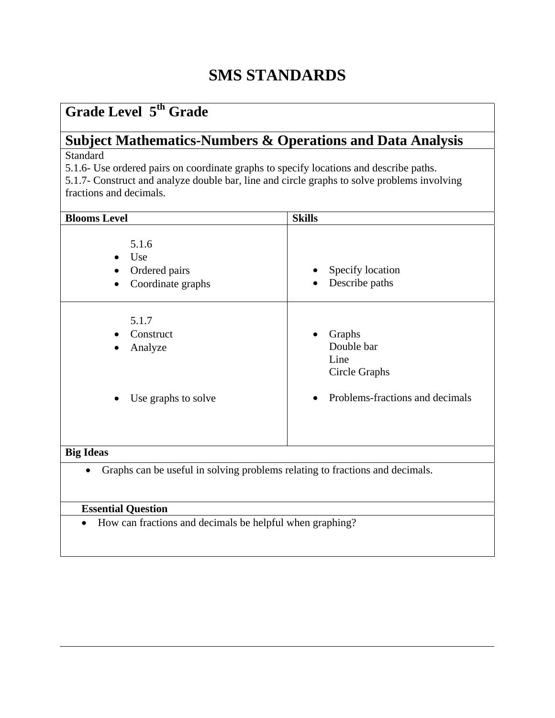## **Grade Level 5th Grade**

# **Subject Mathematics-Numbers & Operations and Data Analysis**

**Standard** 

5.1.6- Use ordered pairs on coordinate graphs to specify locations and describe paths.

5.1.7- Construct and analyze double bar, line and circle graphs to solve problems involving fractions and decimals.

| <b>Blooms Level</b>                                                                       | <b>Skills</b>                                                |
|-------------------------------------------------------------------------------------------|--------------------------------------------------------------|
| 5.1.6<br>Use<br>$\bullet$<br>Ordered pairs<br>$\bullet$<br>Coordinate graphs<br>$\bullet$ | Specify location<br>$\bullet$<br>Describe paths<br>$\bullet$ |
| 5.1.7<br>Construct<br>$\bullet$<br>Analyze<br>$\bullet$                                   | Graphs<br>Double bar<br>Line<br>Circle Graphs                |
| Use graphs to solve<br>$\bullet$                                                          | Problems-fractions and decimals                              |
| <b>Big Ideas</b>                                                                          |                                                              |

#### **Big Ideas**

• Graphs can be useful in solving problems relating to fractions and decimals.

### **Essential Question**

• How can fractions and decimals be helpful when graphing?